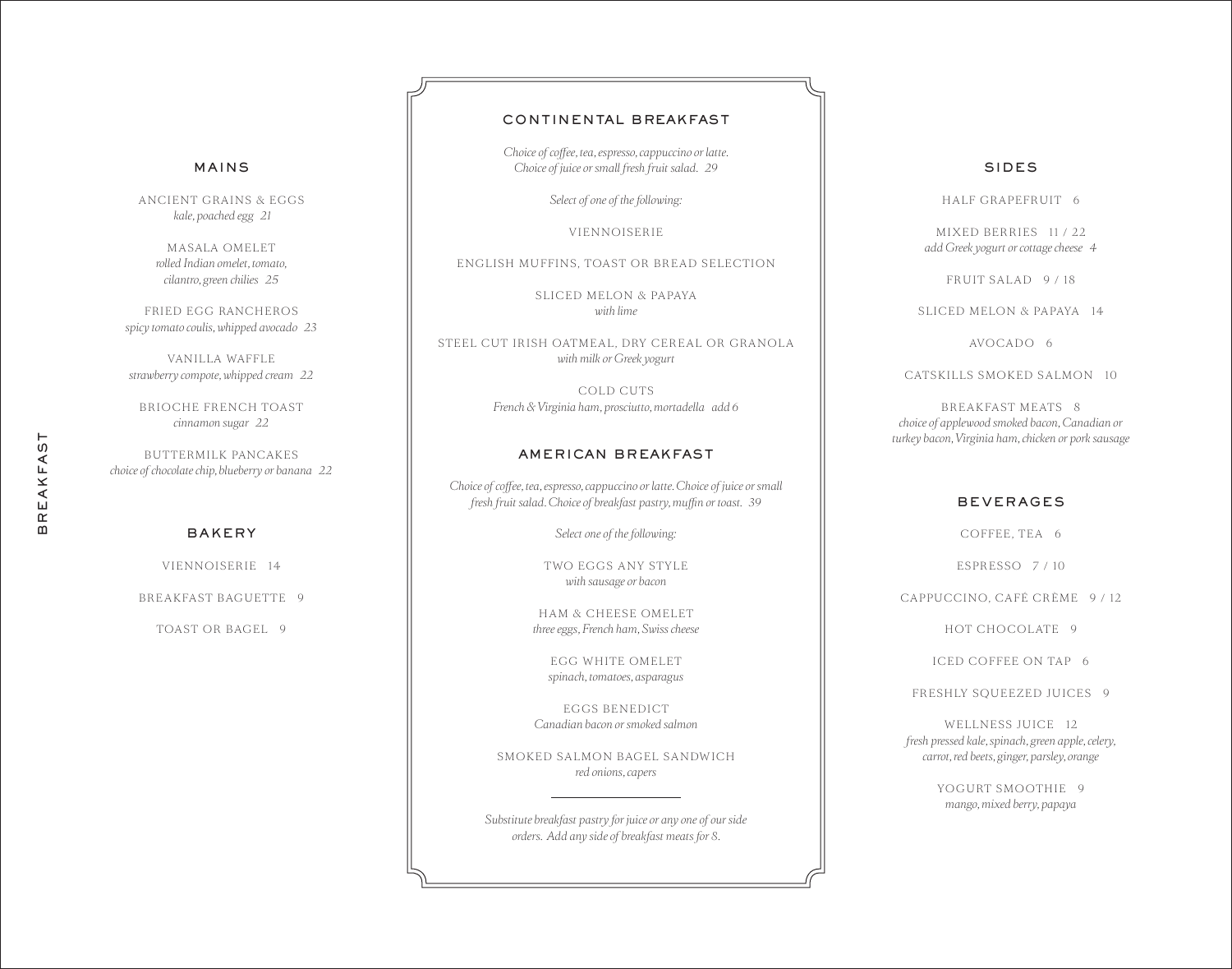# REAKFAST BREAKFAST $\mathbf{m}$

 *kale, poached egg 21*

MASALA OMELET *rolled Indian omelet, tomato, cilantro, green chilies 25*

MAINS

ANCIENT GRAINS & EGGS

FRIED EGG RANCHEROS *spicy tomato coulis, whipped avocado 23*

VANILLA WAFFLE *strawberry compote, whipped cream 22*

BRIOCHE FRENCH TOAST *cinnamon sugar 22*

BUTTERMILK PANCAKES *choice of chocolate chip, blueberry or banana 22*

# BAKERY

VIENNOISERIE 14

BREAKFAST BAGUETTE 9

TOAST OR BAGEL 9

# CONTINENTAL BREAKFAST

*Choice of coffee, tea, espresso, cappuccino or latte. Choice of juice or small fresh fruit salad. 29*

*Select of one of the following:*

VIENNOISERIE

ENGLISH MUFFINS, TOAST OR BREAD SELECTION

SLICED MELON & PAPAYA *with lime* 

STEEL CUT IRISH OATMEAL, DRY CEREAL OR GRANOLA *with milk or Greek yogurt*

> COLD CUTS *French & Virginia ham, prosciutto, mortadella add 6*

# AMERICAN BREAKFAST

*Choice of coffee, tea, espresso, cappuccino or latte. Choice of juice or small fresh fruit salad. Choice of breakfast pastry, muffin or toast. 39*

*Select one of the following:*

TWO EGGS ANY STYLE *with sausage or bacon*

HAM & CHEESE OMELET *three eggs, French ham, Swiss cheese*

EGG WHITE OMELET *spinach, tomatoes, asparagus*

EGGS BENEDICT *Canadian bacon or smoked salmon*

SMOKED SALMON BAGEL SANDWICH *red onions, capers*

*Substitute breakfast pastry for juice or any one of our side orders. Add any side of breakfast meats for 8.*

# SIDES

HALF GRAPEFRUIT 6

MIXED BERRIES 11 / 22 *add Greek yogurt or cottage cheese 4*

FRUIT SALAD 9 / 18

SLICED MELON & PAPAYA 14

AVOCADO 6

CATSKILLS SMOKED SALMON 10

BREAKFAST MEATS 8 *choice of applewood smoked bacon, Canadian or turkey bacon, Virginia ham, chicken or pork sausage*

# BEVERAGES

COFFEE, TEA 6

ESPRESSO 7 / 10

CAPPUCCINO, CAFÉ CRÈME 9 / 12

HOT CHOCOLATE 9

ICED COFFEE ON TAP 6

FRESHLY SQUEEZED JUICES 9

WELLNESS JUICE 12 *fresh pressed kale, spinach, green apple, celery, carrot, red beets, ginger, parsley, orange*

> YOGURT SMOOTHIE 9 *mango, mixed berry, papaya*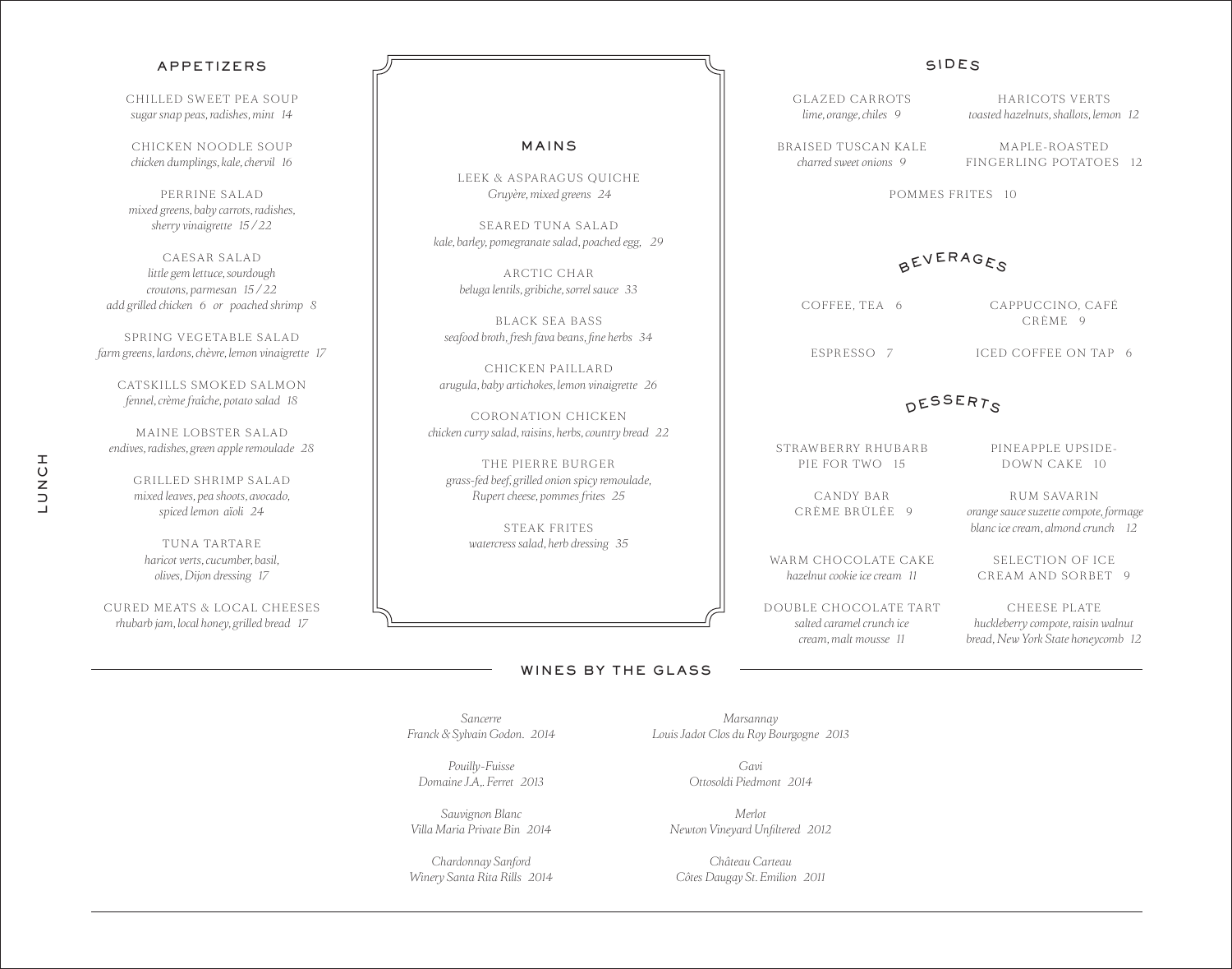|                                                     |                                               | SIDES                                                       |  |  |
|-----------------------------------------------------|-----------------------------------------------|-------------------------------------------------------------|--|--|
|                                                     | GLAZED CARROTS<br>lime, orange, chiles 9      | HARICOTS VERTS<br>toasted hazelnuts, shallots, lemon 12     |  |  |
| MAINS                                               | BRAISED TUSCAN KALE<br>charred sweet onions 9 | MAPLE-ROASTED<br>FINGERLING POTATOES 12                     |  |  |
| PARAGUS QUICHE<br>e, mixed greens 24                | <b>POMMES FRITES 10</b>                       |                                                             |  |  |
| D TUNA SALAD<br>ranate salad, poached egg, 29       |                                               |                                                             |  |  |
| CTIC CHAR<br>gribiche, sorrel sauce 33              |                                               | BEVERAGES                                                   |  |  |
| CK SEA BASS                                         | COFFEE, TEA 6                                 | CAPPUCCINO, CAFÉ<br>CRÈME 9                                 |  |  |
| sh fava beans, fine herbs 34<br><b>CEN PAILLARD</b> | ESPRESSO 7                                    | ICED COFFEE ON TAP 6                                        |  |  |
| chokes, lemon vinaigrette 26                        |                                               | DESSERTS                                                    |  |  |
| ATION CHICKEN<br>raisins, herbs, country bread 22   |                                               |                                                             |  |  |
| ERRE BURGER<br>illed onion spicy remoulade,         | STRAWBERRY RHUBARB<br>PIE FOR TWO 15          | PINEAPPLE UPSIDE-<br>DOWN CAKE 10                           |  |  |
| ese, pommes frites 25                               | <b>CANDY BAR</b><br>CRÈME BRÛLÉE 9            | <b>RUM SAVARIN</b><br>orange sauce suzette compote, formage |  |  |
| EAK FRITES<br>$1.11.1$ $1.1.1$                      |                                               | blanc ice cream, almond crunch 12                           |  |  |

WARM CHOCOLATE CAKE *hazelnut cookie ice cream 11*

D OUBLE CHO COLATE TART *salted caramel crunch ice cream, malt mousse 11*

# WINES BY THE GLASS

*Sancerre Franck & Sylvain Godon. 2014*

*Pouilly-Fuisse Domaine J.A,. Ferret 2013*

*Sauvignon Blanc Villa Maria Private Bin 2014*

*Chardonnay Sanford Winery Santa Rita Rills 2014*

*Marsannay Louis Jadot Clos du Roy Bourgogne 2013*

> *Gavi Ottosoldi Piedmont 2014*

*Merlot Newton Vineyard Unfiltered 2012*

*Château Carteau Côtes Daugay St. Emilion 2011*

# APPETIZERS

CHILLED SWEET PEA SOUP *sugar snap peas, radishes, mint 14*

CHICKEN NOODLE SOUP *chicken dumplings, kale, chervil 16*

PERRINE SALAD *mixed greens, baby carrots, radishes, sherry vinaigrette 15 / 22*

CAESAR SALAD *little gem lettuce, sourdough croutons, parmesan 15 / 22 add grilled chicken 6 or poached shrimp 8*

SPRING VEGETABLE SALAD *farm greens, lardons, chèvre, lemon vinaigrette 17*

CATSKILLS SMOKED SALMON *fennel, crème fraîche, potato salad 18*

MAINE LOBSTER SALAD *endives, radishes, green apple remoulade 28*

GRILLED SHRIMP SALAD *mixed leaves, pea shoots, avocado, spiced lemon aïoli 24*

TUNA TARTARE *haricot verts, cucumber, basil, olives, Dijon dressing 17*

CURED MEATS & LOCAL CHEESES *rhubarb jam, local honey, grilled bread 17*

# MAINS

LEEK & ASP  $Gruy$ ère

SEARED  $k$ ale, barley, pomegr

> AR<sup>C</sup>  $beluga$ *lentils,*

BLA<sub>C</sub>  $s$ *eafood broth, fres* 

CHICK *arugula, baby artichokes, lemon vinaigrette 26*

CORONA *chicken curry salad,* 

THE PI *grass-fed beef, grilled onion spicy remoulade, Rupert cheese, pommes frites 25* 

> STE *watercress salad, herb dressing 35*

SELECTION OF ICE CREAM AND SORBET 9

CHEESE PLATE *huckleberry compote, raisin walnut bread, New York State honeycomb 12*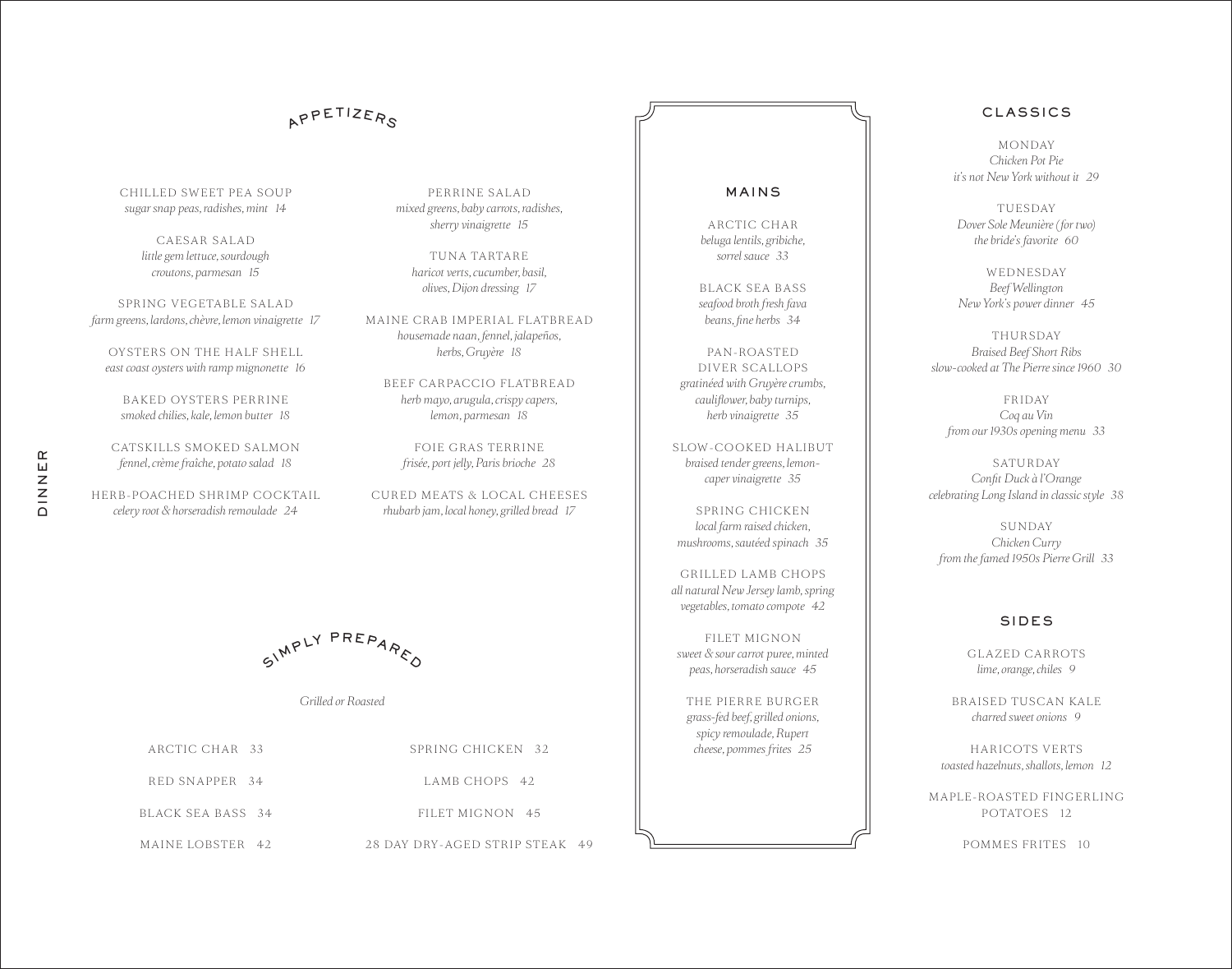# APPETIZERS

PERRINE SALAD *mixed greens, baby carrots, radishes, sherry vinaigrette 15*

TUNA TARTARE *haricot verts, cucumber, basil, olives, Dijon dressing 17*

MAINE CRAB IMPERIAL FLATBREAD *housemade naan, fennel, jalapeños, herbs, Gruyère 18*

BEEF CARPACCIO FLATBREAD *herb mayo, arugula, crispy capers, lemon, parmesan 18*

FOIE GRAS TERRINE *frisée, port jelly, Paris brioche 28*

CURED MEATS & LOCAL CHEESES *rhubarb jam, local honey, grilled bread 17*

CHILLED SWEET PEA SOUP *sugar snap peas, radishes, mint 14*

> CAESAR SALAD *little gem lettuce, sourdough croutons, parmesan 15*

SPRING VEGETABLE SALAD *farm greens, lardons, chèvre, lemon vinaigrette 17*

OYSTERS ON THE HALF SHELL *east coast oysters with ramp mignonette 16*

BAKED OYSTERS PERRINE *smoked chilies, kale, lemon butter 18*

CATSKILLS SMOKED SALMON *fennel, crème fraîche, potato salad 18*

HERB-POACHED SHRIMP COCKTAIL *celery root & horseradish remoulade 24*

SIMPLY PREPARED

*Grilled or Roasted*

| ARCTIC CHAR 33    | SPRING CHICKEN 32              |
|-------------------|--------------------------------|
| RED SNAPPER 34    | LAMB CHOPS 42                  |
| BLACK SEA BASS 34 | FILET MIGNON 45                |
| MAINE LOBSTER 42  | 28 DAY DRY-AGED STRIP STEAK 49 |

# MAINS

ARCTIC CHAR *beluga lentils, gribiche, sorrel sauce 33*

BLACK SEA BASS *seafood broth fresh fava beans, fine herbs 34*

PAN-ROASTED DIVER SCALLOPS *gratinéed with Gruyère crumbs, cauliflower, baby turnips, herb vinaigrette 35*

SLOW-COOKED HALIBUT *braised tender greens, lemoncaper vinaigrette 35*

SPRING CHICKEN *local farm raised chicken, mushrooms, sautéed spinach 35*

GRILLED LAMB CHOPS *all natural New Jersey lamb, spring vegetables, tomato compote 42*

FILET MIGNON *sweet & sour carrot puree, minted peas, horseradish sauce 45*

THE PIERRE BURGER *grass-fed beef, grilled onions, spicy remoulade, Rupert*  cheese, pommes frites 25

*it's not New York without it 29*

CLASSICS

**MONDAY** *Chicken Pot Pie*

**TUESDAY** *Dover Sole Meunière (for two) the bride's favorite 60*

WED NESDAY *Beef Wellington New York's power dinner 45*

**THURSDAY** *Braised Beef Short Ribs slow-cooked at The Pierre since 1960 30*

**FRIDAY** *Coq au Vin from our 1930s opening menu 33*

**SATURDAY** *Confit Duck à l'Orange celebrating Long Island in classic style 38*

**SUNDAY** *Chicken Curry from the famed 1950s Pierre Grill 33*

# SIDES

GLAZED CARROTS *lime, orange, chiles 9*

BRAISED TUSCAN KALE *charred sweet onions 9*

HARICOTS VERTS *toasted hazelnuts, shallots, lemon 12*

MAPLE-ROASTED FINGERLING POTATOES 12

POMMES FRITES 10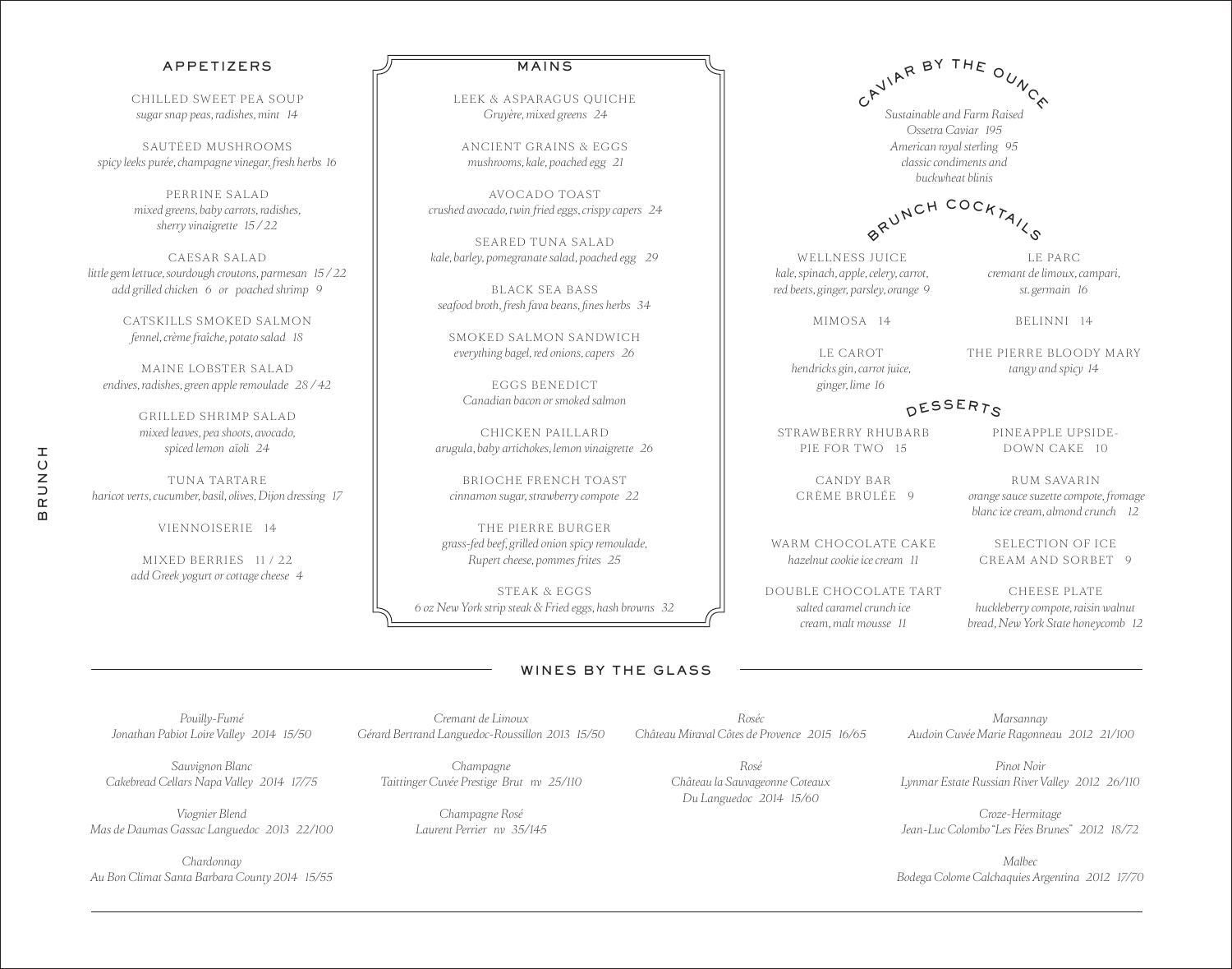# APPETIZERS

CHILLED SWEET PEA SOUP *sugar snap peas, radishes, mint 14*

SAUTÉED MUSHROOMS *spicy leeks purée, champagne vinegar, fresh herbs 16*

> PERRINE SALAD *mixed greens, baby carrots, radishes, sherry vinaigrette 15 / 22*

CAESAR SALAD *little gem lettuce, sourdough croutons, parmesan 15 / 22 add grilled chicken 6 or poached shrimp 9*

> CATSKILLS SMOKED SALMON *fennel, crème fraîche, potato salad 18*

MAINE LOBSTER SALAD *endives, radishes, green apple remoulade 28 / 42*

> GRILLED SHRIMP SALAD *mixed leaves, pea shoots, avocado, spiced lemon aïoli 24*

TUNA TARTARE *haricot verts, cucumber, basil, olives, Dijon dressing 17*

BRUNCH

 $\boldsymbol{\underline{\mathsf{m}}}$ 

**HUNDE** 

VIENNOISERIE 14

MIXED BERRIES 11 / 22 *add Greek yogurt or cottage cheese 4*

### MAINS

LEEK & ASPARAGUS QUICHE  *Gruyère, mixed greens 24*

ANCIENT GRAINS & EGGS  *mushrooms, kale, poached egg 21*

AVOCADO TOAST  *crushed avocado, twin fried eggs, crispy capers 24*

SEARED TUNA SALAD *kale, barley, pomegranate salad, poached egg 29*

BLACK SEA BASS *seafood broth, fresh fava beans, fines herbs 34*

SMOKED SALMON SANDWICH *everything bagel, red onions, capers 26*

EGGS BENEDICT *Canadian bacon or smoked salmon*

CHICKEN PAILLARD *arugula, baby artichokes, lemon vinaigrette 26*

BRIOCHE FRENCH TOAST *cinnamon sugar, strawberry compote 22*

THE PIERRE BURGER *grass-fed beef, grilled onion spicy remoulade, Rupert cheese, pommes frites 25* 

STEAK & EGGS *6 oz New York strip steak & Fried eggs, hash browns 32*

# WINES BY THE GLASS

*Cremant de Limoux Gérard Bertrand Languedoc-Roussillon 2013 15/50* 

*Roséc Château Miraval Côtes de Provence 2015 16/65*

> *Rosé Château la Sauvageonne Coteaux Du Languedoc 2014 15/60*

*Marsannay Audoin Cuvée Marie Ragonneau 2012 21/100* 

*Pinot Noir Lynmar Estate Russian River Valley 2012 26/110* 

*Croze-Hermitage Jean-Luc Colombo "Les Fées Brunes" 2012 18/72*

*Malbec Bodega Colome Calchaquies Argentina 2012 17/70*

*Pouilly-Fumé Jonathan Pabiot Loire Valley 2014 15/50* 

*Sauvignon Blanc Cakebread Cellars Napa Valley 2014 17/75*

*Viognier Blend Mas de Daumas Gassac Languedoc 2013 22/100* 

*Chardonnay Au Bon Climat Santa Barbara County 2014 15/55*

*Champagne Taittinger Cuvée Prestige Brut nv 25/110*

> *Champagne Rosé Laurent Perrier nv 35/145*

PIE FOR TWO 15 CANDY BAR CRÈME BRÛLÉE 9 DOWN CAKE 10

DESSERTS

BRUNCH COCKTAILS

CAVIAR BY THE OUNCE

*Sustainable and Farm Raised Ossetra Caviar 195 American royal sterling 95 classic condiments and buckwheat blinis*

> RUM SAVARIN  *orange sauce suzette compote, fromage blanc ice cream, almond crunch 12*

PINEAPPLE UPSIDE-

THE PIERRE BLOODY MARY *tangy and spicy 14*

SELECTION OF ICE CREAM AND SORBET 9

CHEESE PLATE *huckleberry compote, raisin walnut bread, New York State honeycomb 12* 

*cremant de limoux, campari, st. germain 16*

LE PARC

BELINNI 14

MIMOSA 14

STRAWBERRY RHUBARB

LE CAROT *hendricks gin, carrot juice, ginger, lime 16*

WELLNESS JUICE *kale, spinach, apple, celery, carrot, red beets, ginger, parsley, orange 9*

WARM CHOCOLATE CAKE *hazelnut cookie ice cream 11*

D OUBLE CHO COLATE TART *salted caramel crunch ice cream, malt mousse 11*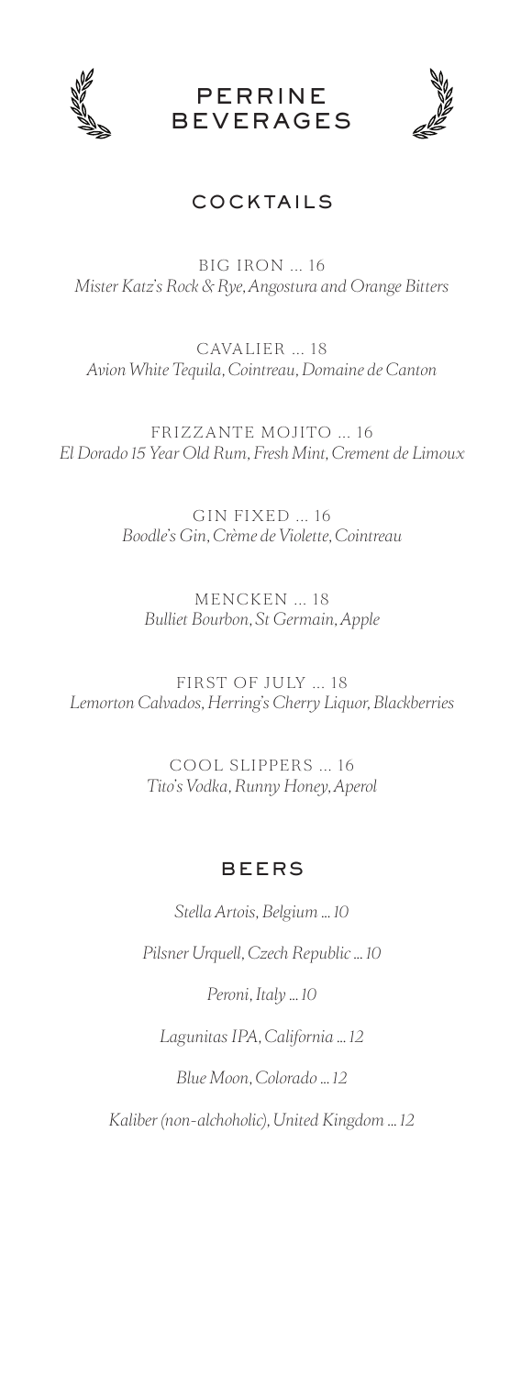

**PERRINE** BEVERAGES



# COCKTAILS

BIG IRON ... 16 *Mister Katz's Rock & Rye, Angostura and Orange Bitters*

CAVALIER ... 18 *Avion White Tequila, Cointreau, Domaine de Canton*

FRIZZANTE MOJITO ... 16 *El Dorado 15 Year Old Rum, Fresh Mint, Crement de Limoux*

> GIN FIXED ... 16 *Boodle's Gin, Crème de Violette, Cointreau*

MENCKEN ... 18 *Bulliet Bourbon, St Germain, Apple*

FIRST OF JULY ... 18 *Lemorton Calvados, Herring's Cherry Liquor, Blackberries*

> COOL SLIPPERS ... 16 *Tito's Vodka, Runny Honey, Aperol*

# BEERS

*Stella Artois, Belgium ... 10*

*Pilsner Urquell, Czech Republic ... 10*

*Peroni, Italy ... 10*

*Lagunitas IPA, California ... 12*

*Blue Moon, Colorado ... 12*

*Kaliber (non-alchoholic), United Kingdom ... 12*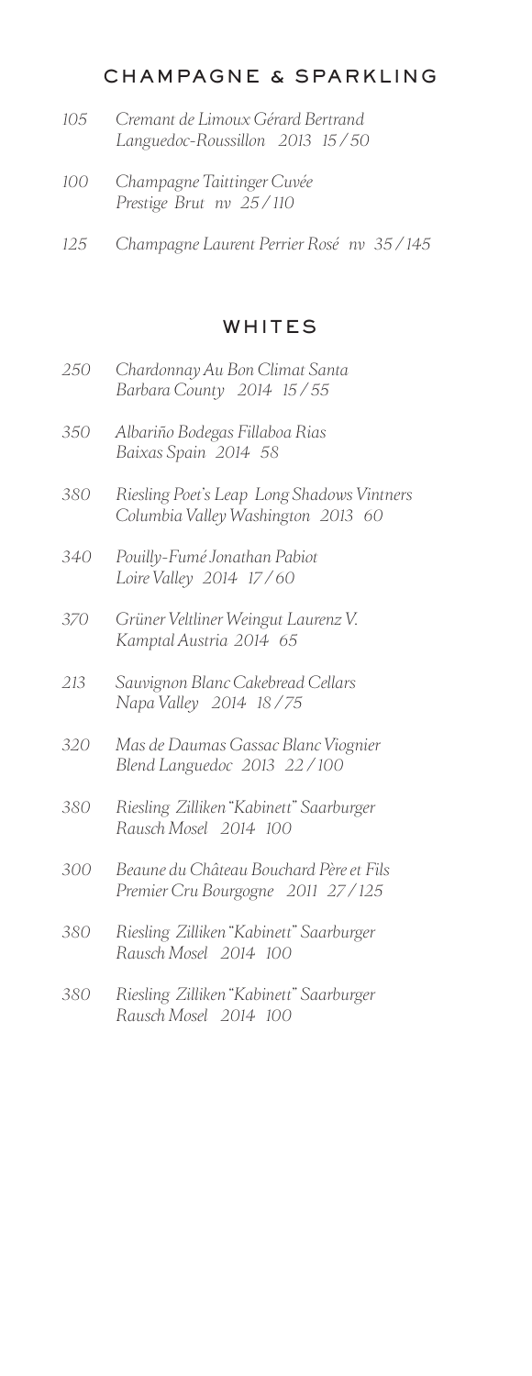# CHAMPAGNE & SPARKLING

- *105 Cremant de Limoux Gérard Bertrand Languedoc-Roussillon 2013 15 / 50*
- *100 Champagne Taittinger Cuvée Prestige Brut nv 25 / 110*
- *125 Champagne Laurent Perrier Rosé nv 35 / 145*

# WHITES

- *250 Chardonnay Au Bon Climat Santa Barbara County 2014 15 / 55*
- *350 Albariño Bodegas Fillaboa Rias Baixas Spain 2014 58*
- *380 Riesling Poet's Leap Long Shadows Vintners Columbia Valley Washington 2013 60*
- *340 Pouilly-Fumé Jonathan Pabiot Loire Valley 2014 17 / 60*
- *370 Grüner Veltliner Weingut Laurenz V. Kamptal Austria 2014 65*
- *213 Sauvignon Blanc Cakebread Cellars Napa Valley 2014 18 / 75*
- *320 Mas de Daumas Gassac Blanc Viognier Blend Languedoc 2013 22 / 100*
- *380 Riesling Zilliken "Kabinett" Saarburger Rausch Mosel 2014 100*
- *300 Beaune du Château Bouchard Père et Fils Premier Cru Bourgogne 2011 27 / 125*
- *380 Riesling Zilliken "Kabinett" Saarburger Rausch Mosel 2014 100*
- *380 Riesling Zilliken "Kabinett" Saarburger Rausch Mosel 2014 100*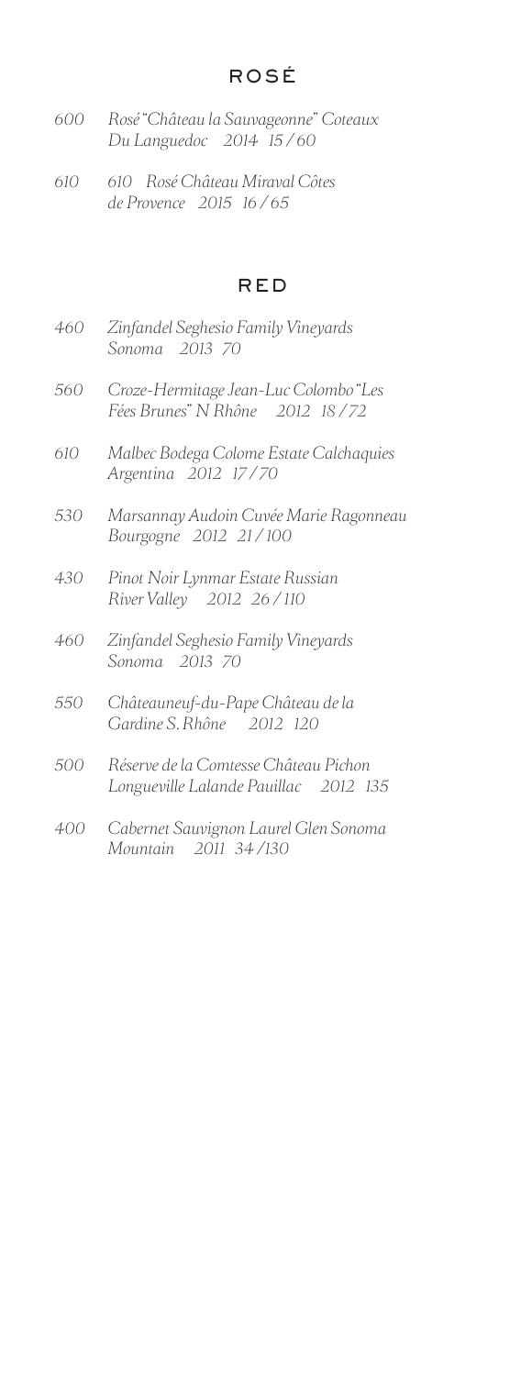- *600 Rosé "Château la Sauvageonne" Coteaux Du Languedoc 2014 15 / 60*
- *610 610 Rosé Château Miraval Côtes de Provence 2015 16 / 65*

# RED

- *460 Zinfandel Seghesio Family Vineyards Sonoma 2013 70*
- *560 Croze-Hermitage Jean-Luc Colombo "Les Fées Brunes" N Rhône 2012 18 / 72*
- *610 Malbec Bodega Colome Estate Calchaquies Argentina 2012 17 / 70*
- *530 Marsannay Audoin Cuvée Marie Ragonneau Bourgogne 2012 21 / 100*
- *430 Pinot Noir Lynmar Estate Russian River Valley 2012 26 / 110*
- *460 Zinfandel Seghesio Family Vineyards Sonoma 2013 70*
- *550 Châteauneuf-du-Pape Château de la Gardine S. Rhône 2012 120*
- *500 Réserve de la Comtesse Château Pichon Longueville Lalande Pauillac 2012 135*
- *400 Cabernet Sauvignon Laurel Glen Sonoma Mountain 2011 34 /130*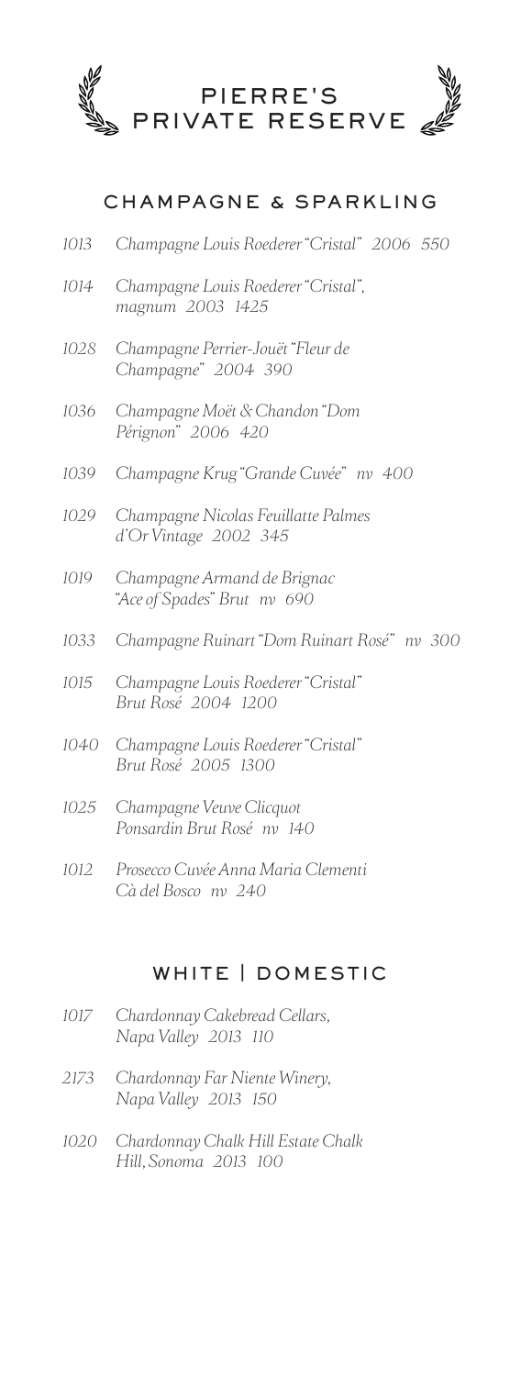

# CHAMPAGNE & SPARKLING

- *1013 Champagne Louis Roederer "Cristal" 2006 550*
- *1014 Champagne Louis Roederer "Cristal", magnum 2003 1425*
- *1028 Champagne Perrier-Jouët "Fleur de Champagne" 2004 390*
- *1036 Champagne Moët & Chandon "Dom Pérignon" 2006 420*
- *1039 Champagne Krug "Grande Cuvée" nv 400*
- *1029 Champagne Nicolas Feuillatte Palmes d'Or Vintage 2002 345*
- *1019 Champagne Armand de Brignac "Ace of Spades" Brut nv 690*
- *1033 Champagne Ruinart "Dom Ruinart Rosé" nv 300*
- *1015 Champagne Louis Roederer "Cristal" Brut Rosé 2004 1200*
- *1040 Champagne Louis Roederer "Cristal" Brut Rosé 2005 1300*
- *1025 Champagne Veuve Clicquot Ponsardin Brut Rosé nv 140*
- *1012 Prosecco Cuvée Anna Maria Clementi Cà del Bosco nv 240*

# WHITE | DOMESTIC

- *1017 Chardonnay Cakebread Cellars, Napa Valley 2013 110*
- *2173 Chardonnay Far Niente Winery, Napa Valley 2013 150*
- *1020 Chardonnay Chalk Hill Estate Chalk Hill, Sonoma 2013 100*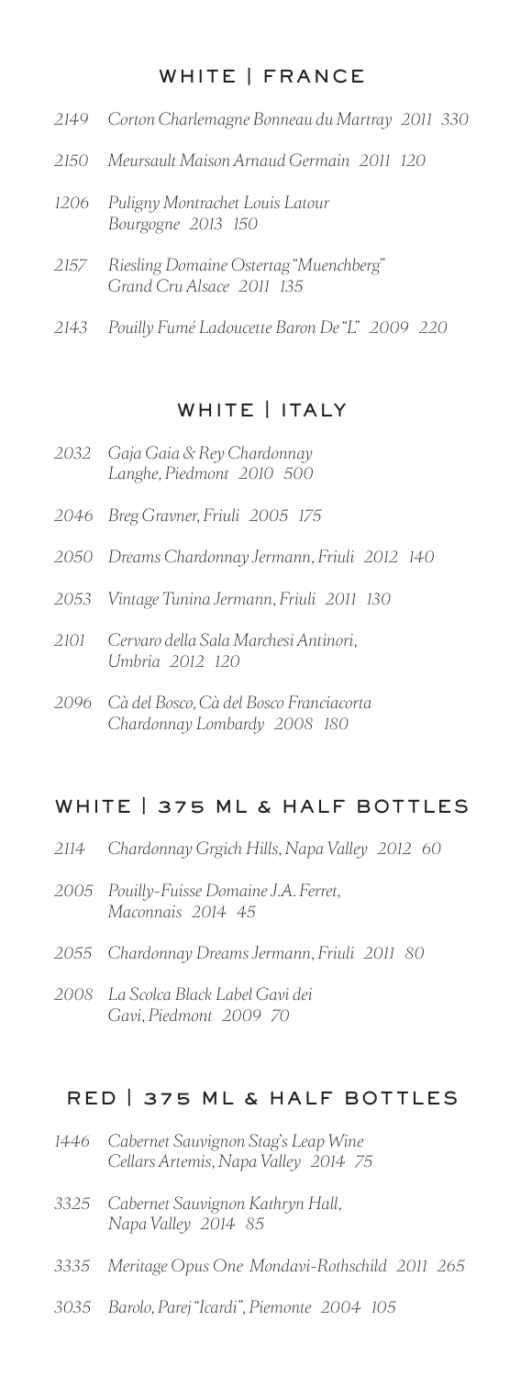# WHITE | FRANCE

- *2149 Corton Charlemagne Bonneau du Martray 2011 330*
- *2150 Meursault Maison Arnaud Germain 2011 120*
- *1206 Puligny Montrachet Louis Latour Bourgogne 2013 150*
- *2157 Riesling Domaine Ostertag "Muenchberg" Grand Cru Alsace 2011 135*
- *2143 Pouilly Fumé Ladoucette Baron De "L" 2009 220*

# WHITE | ITALY

- *2032 Gaja Gaia & Rey Chardonnay Langhe, Piedmont 2010 500*
- *2046 Breg Gravner, Friuli 2005 175*
- *2050 Dreams Chardonnay Jermann, Friuli 2012 140*
- *2053 Vintage Tunina Jermann, Friuli 2011 130*
- *2101 Cervaro della Sala Marchesi Antinori, Umbria 2012 120*
- *2096 Cà del Bosco, Cà del Bosco Franciacorta Chardonnay Lombardy 2008 180*

# WHITE | 375 ML & HALF BOTTLES

- *2114 Chardonnay Grgich Hills, Napa Valley 2012 60*
- *2005 Pouilly-Fuisse Domaine J.A. Ferret, Maconnais 2014 45*
- *2055 Chardonnay Dreams Jermann, Friuli 2011 80*
- *2008 La Scolca Black Label Gavi dei Gavi, Piedmont 2009 70*

# RED | 375 ML & HALF BOTTLES

- *1446 Cabernet Sauvignon Stag's Leap Wine Cellars Artemis, Napa Valley 2014 75*
- *3325 Cabernet Sauvignon Kathryn Hall, Napa Valley 2014 85*
- *3335 Meritage Opus One Mondavi-Rothschild 2011 265*
- *3035 Barolo, Parej "Icardi", Piemonte 2004 105*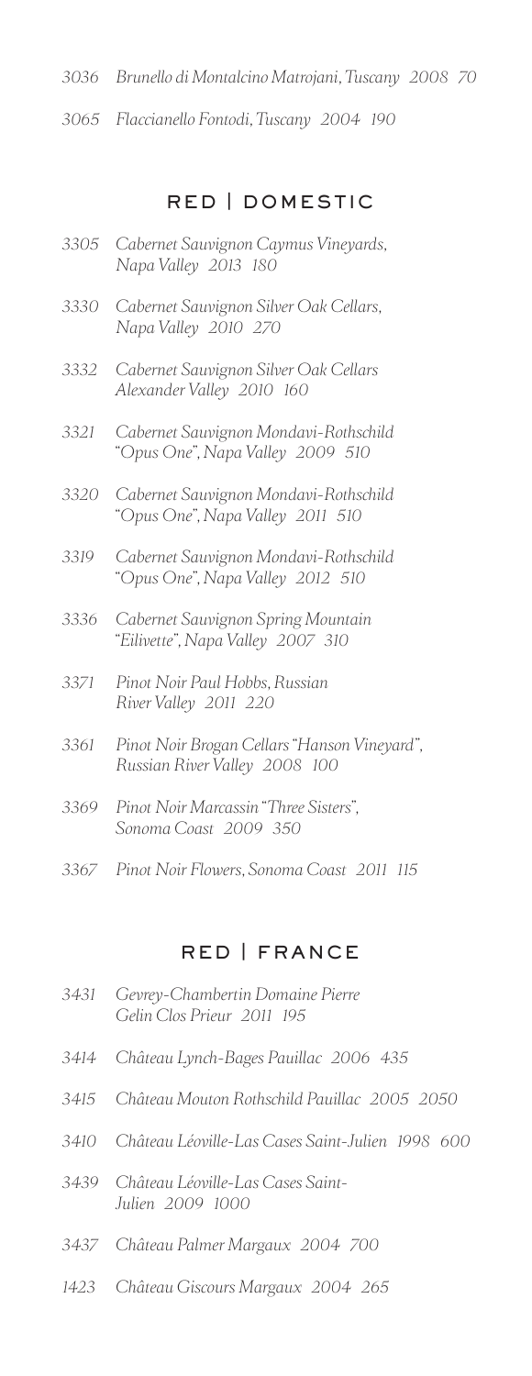- *3036 Brunello di Montalcino Matrojani, Tuscany 2008 70*
- *3065 Flaccianello Fontodi, Tuscany 2004 190*

# RED | DOMESTIC

- *3305 Cabernet Sauvignon Caymus Vineyards, Napa Valley 2013 180*
- *3330 Cabernet Sauvignon Silver Oak Cellars, Napa Valley 2010 270*
- *3332 Cabernet Sauvignon Silver Oak Cellars Alexander Valley 2010 160*
- *3321 Cabernet Sauvignon Mondavi-Rothschild "Opus One", Napa Valley 2009 510*
- *3320 Cabernet Sauvignon Mondavi-Rothschild "Opus One", Napa Valley 2011 510*
- *3319 Cabernet Sauvignon Mondavi-Rothschild "Opus One", Napa Valley 2012 510*
- *3336 Cabernet Sauvignon Spring Mountain "Eilivette", Napa Valley 2007 310*
- *3371 Pinot Noir Paul Hobbs, Russian River Valley 2011 220*
- *3361 Pinot Noir Brogan Cellars "Hanson Vineyard", Russian River Valley 2008 100*
- *3369 Pinot Noir Marcassin "Three Sisters", Sonoma Coast 2009 350*
- *3367 Pinot Noir Flowers, Sonoma Coast 2011 115*

# RED | FRANCE

| 3431 Gevrey-Chambertin Domaine Pierre<br>Gelin Clos Prieur 2011 195 |
|---------------------------------------------------------------------|
| 3414 Château Lynch-Bages Pauillac 2006 435                          |

- 
- *3415 Château Mouton Rothschild Pauillac 2005 2050*
- *3410 Château Léoville-Las Cases Saint-Julien 1998 600*
- *3439 Château Léoville-Las Cases Saint-Julien 2009 1000*
- *3437 Château Palmer Margaux 2004 700*
- *1423 Château Giscours Margaux 2004 265*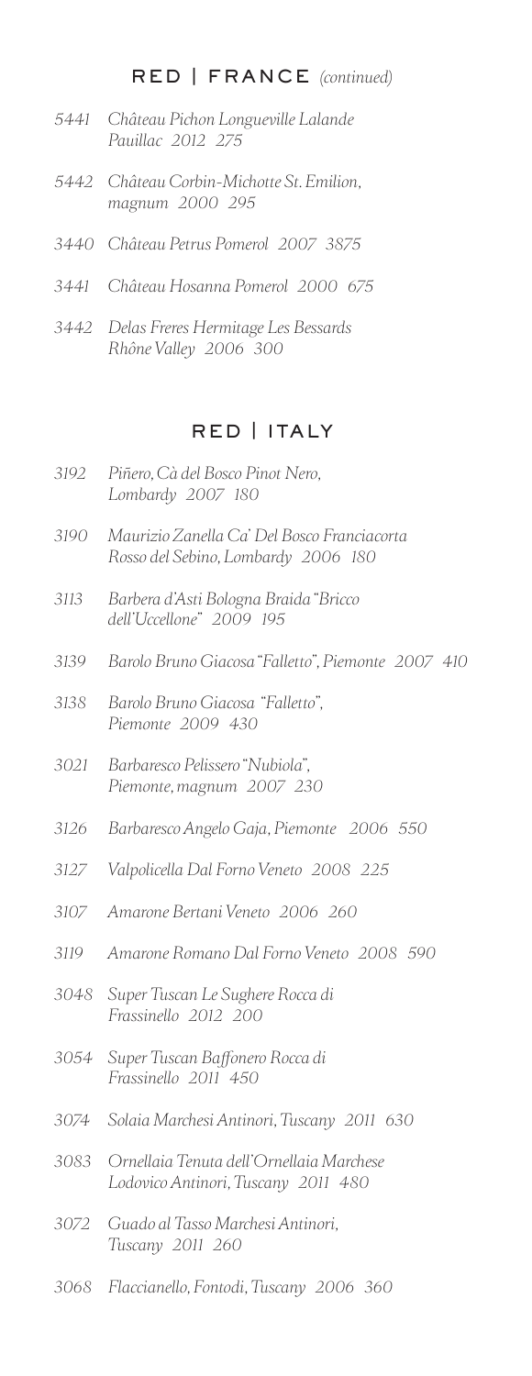# RED | FRANCE *(continued)*

- *5441 Château Pichon Longueville Lalande Pauillac 2012 275*
- *5442 Château Corbin-Michotte St. Emilion, magnum 2000 295*
- *3440 Château Petrus Pomerol 2007 3875*
- *3441 Château Hosanna Pomerol 2000 675*
- *3442 Delas Freres Hermitage Les Bessards Rhône Valley 2006 300*

# RED | ITALY

- *3192 Piñero, Cà del Bosco Pinot Nero, Lombardy 2007 180*
- *3190 Maurizio Zanella Ca' Del Bosco Franciacorta Rosso del Sebino, Lombardy 2006 180*
- *3113 Barbera d'Asti Bologna Braida "Bricco dell'Uccellone" 2009 195*
- *3139 Barolo Bruno Giacosa "Falletto", Piemonte 2007 410*
- *3138 Barolo Bruno Giacosa "Falletto", Piemonte 2009 430*
- *3021 Barbaresco Pelissero "Nubiola", Piemonte, magnum 2007 230*
- *3126 Barbaresco Angelo Gaja, Piemonte 2006 550*
- *3127 Valpolicella Dal Forno Veneto 2008 225*
- *3107 Amarone Bertani Veneto 2006 260*
- *3119 Amarone Romano Dal Forno Veneto 2008 590*
- *3048 Super Tuscan Le Sughere Rocca di Frassinello 2012 200*
- *3054 Super Tuscan Baffonero Rocca di Frassinello 2011 450*
- *3074 Solaia Marchesi Antinori, Tuscany 2011 630*
- *3083 Ornellaia Tenuta dell'Ornellaia Marchese Lodovico Antinori, Tuscany 2011 480*
- *3072 Guado al Tasso Marchesi Antinori, Tuscany 2011 260*
- *3068 Flaccianello, Fontodi, Tuscany 2006 360*